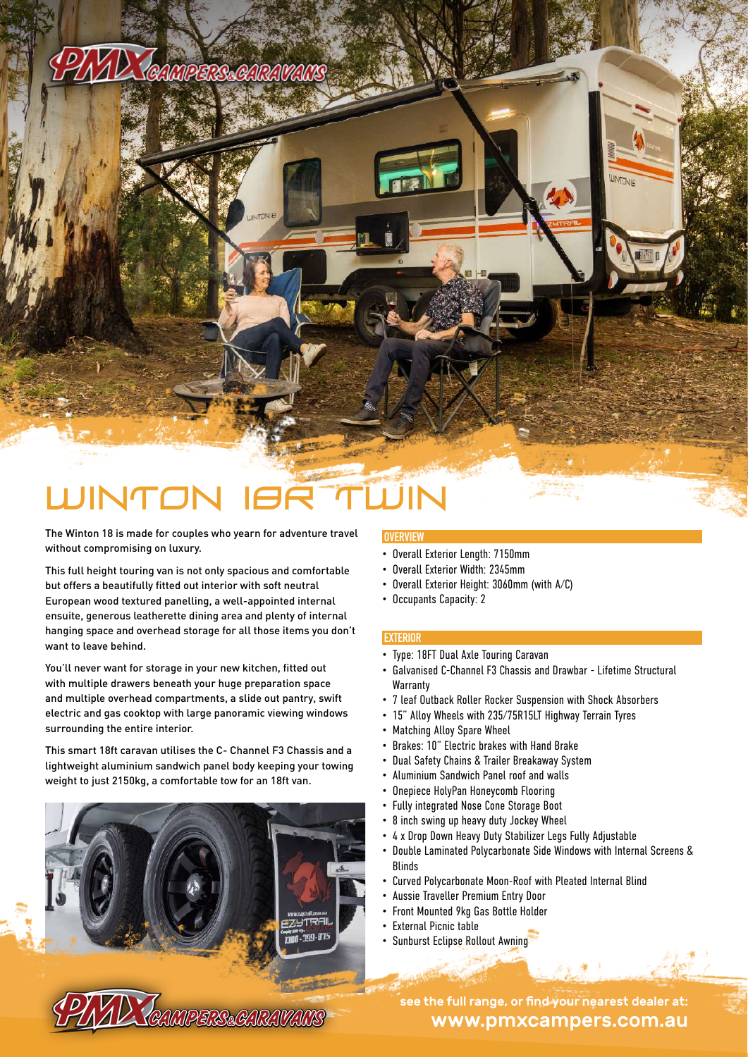## PAAD Tenmeres en ravars

# UNTO

The Winton 18 is made for couples who yearn for adventure travel without compromising on luxury.

This full height touring van is not only spacious and comfortable but offers a beautifully fitted out interior with soft neutral European wood textured panelling, a well-appointed internal ensuite, generous leatherette dining area and plenty of internal hanging space and overhead storage for all those items you don't want to leave behind.

You'll never want for storage in your new kitchen, fitted out with multiple drawers beneath your huge preparation space and multiple overhead compartments, a slide out pantry, swift electric and gas cooktop with large panoramic viewing windows surrounding the entire interior.

This smart 18ft caravan utilises the C- Channel F3 Chassis and a lightweight aluminium sandwich panel body keeping your towing weight to just 2150kg, a comfortable tow for an 18ft van.

**PIAD TEAMPERSEARAVANS** 

### • Overall Exterior Length: 7150mm

 **OVERVIEW**

- Overall Exterior Width: 2345mm
- Overall Exterior Height: 3060mm (with A/C)
- Occupants Capacity: 2

#### **EXTERIOR**

- Type: 18FT Dual Axle Touring Caravan
- Galvanised C-Channel F3 Chassis and Drawbar Lifetime Structural **Warranty**
- 7 leaf Outback Roller Rocker Suspension with Shock Absorbers
- 15" Alloy Wheels with 235/75R15LT Highway Terrain Tyres
- Matching Alloy Spare Wheel
- Brakes: 10" Electric brakes with Hand Brake
- Dual Safety Chains & Trailer Breakaway System
- Aluminium Sandwich Panel roof and walls
- Onepiece HolyPan Honeycomb Flooring
- Fully integrated Nose Cone Storage Boot
- 8 inch swing up heavy duty Jockey Wheel
- 4 x Drop Down Heavy Duty Stabilizer Legs Fully Adjustable
- Double Laminated Polycarbonate Side Windows with Internal Screens & Blinds
- Curved Polycarbonate Moon-Roof with Pleated Internal Blind
- Aussie Traveller Premium Entry Door
- Front Mounted 9kg Gas Bottle Holder
- External Picnic table

700-399-875

• Sunburst Eclipse Rollout Awning

www.pmxcampers.com.au see the full range, or find your nearest dealer at: